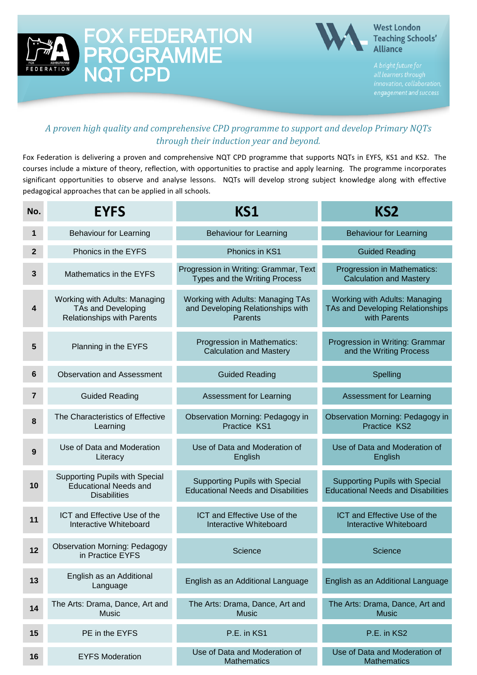



#### **West London Teaching Schools' Alliance**

#### *A proven high quality and comprehensive CPD programme to support and develop Primary NQTs through their induction year and beyond.*

Fox Federation is delivering a proven and comprehensive NQT CPD programme that supports NQTs in EYFS, KS1 and KS2. The courses include a mixture of theory, reflection, with opportunities to practise and apply learning. The programme incorporates significant opportunities to observe and analyse lessons. NQTs will develop strong subject knowledge along with effective pedagogical approaches that can be applied in all schools.

| No.            | <b>EYFS</b>                                                                           | KS1                                                                                | KS2                                                                                |
|----------------|---------------------------------------------------------------------------------------|------------------------------------------------------------------------------------|------------------------------------------------------------------------------------|
| 1              | <b>Behaviour for Learning</b>                                                         | <b>Behaviour for Learning</b>                                                      | <b>Behaviour for Learning</b>                                                      |
| $\overline{2}$ | Phonics in the EYFS                                                                   | Phonics in KS1                                                                     | <b>Guided Reading</b>                                                              |
| 3              | Mathematics in the EYFS                                                               | Progression in Writing: Grammar, Text<br>Types and the Writing Process             | Progression in Mathematics:<br><b>Calculation and Mastery</b>                      |
| 4              | Working with Adults: Managing<br>TAs and Developing<br>Relationships with Parents     | Working with Adults: Managing TAs<br>and Developing Relationships with<br>Parents  | Working with Adults: Managing<br>TAs and Developing Relationships<br>with Parents  |
| 5              | Planning in the EYFS                                                                  | Progression in Mathematics:<br><b>Calculation and Mastery</b>                      | Progression in Writing: Grammar<br>and the Writing Process                         |
| 6              | <b>Observation and Assessment</b>                                                     | <b>Guided Reading</b>                                                              | Spelling                                                                           |
| $\overline{7}$ | <b>Guided Reading</b>                                                                 | <b>Assessment for Learning</b>                                                     | <b>Assessment for Learning</b>                                                     |
| 8              | The Characteristics of Effective<br>Learning                                          | Observation Morning: Pedagogy in<br>Practice KS1                                   | <b>Observation Morning: Pedagogy in</b><br>Practice KS2                            |
| 9              | Use of Data and Moderation<br>Literacy                                                | Use of Data and Moderation of<br>English                                           | Use of Data and Moderation of<br>English                                           |
| 10             | Supporting Pupils with Special<br><b>Educational Needs and</b><br><b>Disabilities</b> | <b>Supporting Pupils with Special</b><br><b>Educational Needs and Disabilities</b> | <b>Supporting Pupils with Special</b><br><b>Educational Needs and Disabilities</b> |
| 11             | ICT and Effective Use of the<br>Interactive Whiteboard                                | ICT and Effective Use of the<br>Interactive Whiteboard                             | ICT and Effective Use of the<br>Interactive Whiteboard                             |
| 12             | <b>Observation Morning: Pedagogy</b><br>in Practice EYFS                              | Science                                                                            | Science                                                                            |
| 13             | English as an Additional<br>Language                                                  | English as an Additional Language                                                  | English as an Additional Language                                                  |
| 14             | The Arts: Drama, Dance, Art and<br><b>Music</b>                                       | The Arts: Drama, Dance, Art and<br><b>Music</b>                                    | The Arts: Drama, Dance, Art and<br><b>Music</b>                                    |
| 15             | PE in the EYFS                                                                        | P.E. in KS1                                                                        | P.E. in KS2                                                                        |
| 16             | <b>EYFS Moderation</b>                                                                | Use of Data and Moderation of<br><b>Mathematics</b>                                | Use of Data and Moderation of<br><b>Mathematics</b>                                |